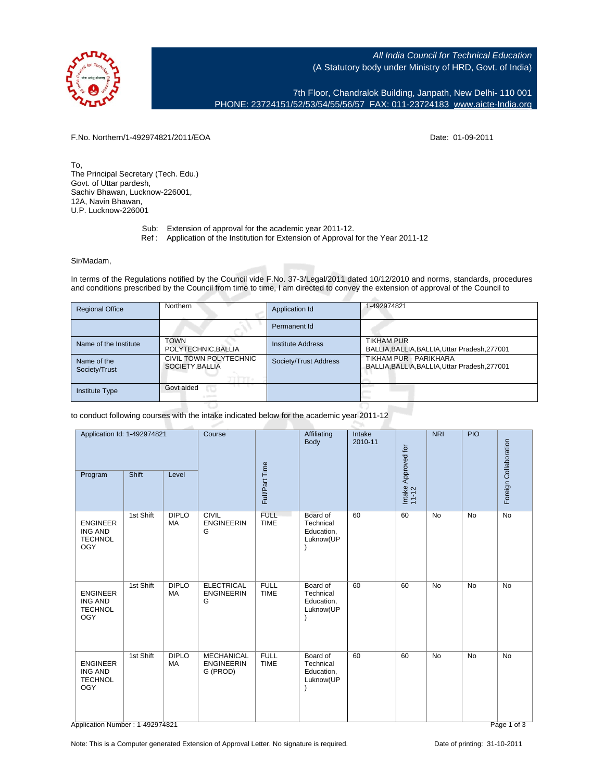All India Council for Technical Education (A Statutory body under Ministry of HRD, Govt. of India)

7th Floor, Chandralok Building, Janpath, New Delhi- 110 001 PHONE: 23724151/52/53/54/55/56/57 FAX: 011-23724183 [www.aicte-India.org](http://www.aicte-India.org)

F.No. Northern/1-492974821/2011/EOA Date: 01-09-2011

To, The Principal Secretary (Tech. Edu.) Govt. of Uttar pardesh, Sachiv Bhawan, Lucknow-226001, 12A, Navin Bhawan, U.P. Lucknow-226001

- Sub: Extension of approval for the academic year 2011-12.
- Ref : Application of the Institution for Extension of Approval for the Year 2011-12

Sir/Madam,

In terms of the Regulations notified by the Council vide F.No. 37-3/Legal/2011 dated 10/12/2010 and norms, standards, procedures and conditions prescribed by the Council from time to time, I am directed to convey the extension of approval of the Council to

| <b>Regional Office</b>       | Northern                                  | Application Id        | 1-492974821                                                         |
|------------------------------|-------------------------------------------|-----------------------|---------------------------------------------------------------------|
|                              |                                           | Permanent Id          |                                                                     |
| Name of the Institute        | <b>TOWN</b><br>POLYTECHNIC, BALLIA        | Institute Address     | <b>TIKHAM PUR</b><br>BALLIA, BALLIA, BALLIA, Uttar Pradesh, 277001  |
| Name of the<br>Society/Trust | CIVIL TOWN POLYTECHNIC<br>SOCIETY, BALLIA | Society/Trust Address | TIKHAM PUR - PARIKHARA<br>BALLIA.BALLIA.BALLIA.Uttar Pradesh.277001 |
| <b>Institute Type</b>        | Govt aided                                |                       |                                                                     |

to conduct following courses with the intake indicated below for the academic year 2011-12

| Application Id: 1-492974821                                       |           | Course                    |                                                    | Affiliating<br>Body        | <b>Intake</b><br>2010-11                         |    | NRI                          | PIO       |           |                       |
|-------------------------------------------------------------------|-----------|---------------------------|----------------------------------------------------|----------------------------|--------------------------------------------------|----|------------------------------|-----------|-----------|-----------------------|
| Program                                                           | Shift     | Level                     |                                                    | Full/Part Time             |                                                  |    | Intake Approved for<br>11-12 |           |           | Foreign Collaboration |
| <b>ENGINEER</b><br><b>ING AND</b><br><b>TECHNOL</b><br><b>OGY</b> | 1st Shift | <b>DIPLO</b><br>MA        | <b>CIVIL</b><br><b>ENGINEERIN</b><br>G             | <b>FULL</b><br><b>TIME</b> | Board of<br>Technical<br>Education,<br>Luknow(UP | 60 | 60                           | <b>No</b> | <b>No</b> | <b>No</b>             |
| <b>ENGINEER</b><br><b>ING AND</b><br><b>TECHNOL</b><br><b>OGY</b> | 1st Shift | <b>DIPLO</b><br><b>MA</b> | <b>ELECTRICAL</b><br><b>ENGINEERIN</b><br>G        | <b>FULL</b><br><b>TIME</b> | Board of<br>Technical<br>Education,<br>Luknow(UP | 60 | 60                           | <b>No</b> | <b>No</b> | <b>No</b>             |
| <b>ENGINEER</b><br><b>ING AND</b><br><b>TECHNOL</b><br><b>OGY</b> | 1st Shift | <b>DIPLO</b><br><b>MA</b> | <b>MECHANICAL</b><br><b>ENGINEERIN</b><br>G (PROD) | <b>FULL</b><br><b>TIME</b> | Board of<br>Technical<br>Education,<br>Luknow(UP | 60 | 60                           | No        | No        | $\overline{N}$        |

Note: This is a Computer generated Extension of Approval Letter. No signature is required. Date of printing: 31-10-2011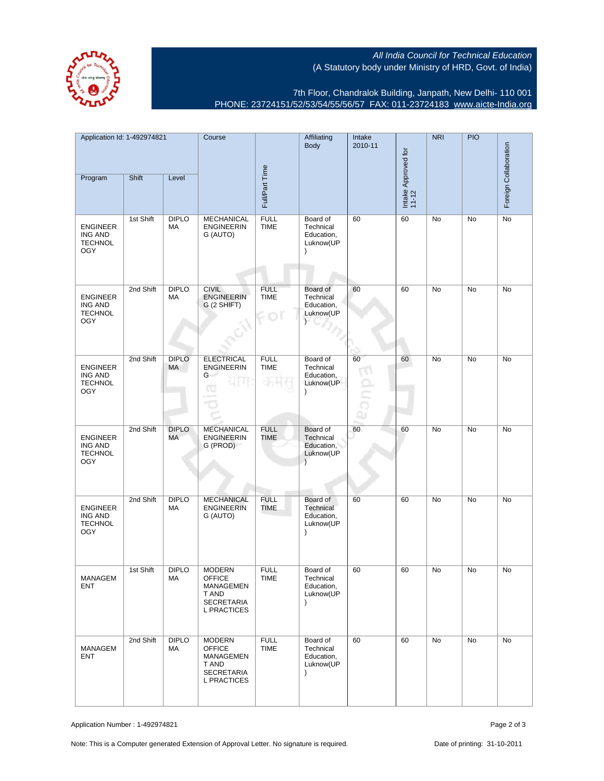All India Council for Technical Education (A Statutory body under Ministry of HRD, Govt. of India)



7th Floor, Chandralok Building, Janpath, New Delhi- 110 001 PHONE: 23724151/52/53/54/55/56/57 FAX: 011-23724183 [www.aicte-India.org](http://www.aicte-India.org)

| Application Id: 1-492974821                                       |           | Course             |                                                                                                 | Affiliating<br>Body        | Intake<br>2010-11                                             |          | <b>NRI</b>                   | <b>PIO</b> | Foreign Collaboration |    |
|-------------------------------------------------------------------|-----------|--------------------|-------------------------------------------------------------------------------------------------|----------------------------|---------------------------------------------------------------|----------|------------------------------|------------|-----------------------|----|
| Program                                                           | Shift     | Level              |                                                                                                 | Full/Part Time             |                                                               |          | Intake Approved for<br>11-12 |            |                       |    |
| <b>ENGINEER</b><br><b>ING AND</b><br><b>TECHNOL</b><br><b>OGY</b> | 1st Shift | <b>DIPLO</b><br>МA | MECHANICAL<br><b>ENGINEERIN</b><br>G (AUTO)                                                     | <b>FULL</b><br><b>TIME</b> | Board of<br>Technical<br>Education,<br>Luknow(UP<br>$\lambda$ | 60       | 60                           | No         | No                    | No |
| <b>ENGINEER</b><br><b>ING AND</b><br><b>TECHNOL</b><br><b>OGY</b> | 2nd Shift | <b>DIPLO</b><br>МA | <b>CIVIL</b><br><b>ENGINEERIN</b><br>G (2 SHIFT)                                                | <b>FULL</b><br><b>TIME</b> | Board of<br>Technical<br>Education,<br>Luknow(UP              | 60       | 60                           | No         | No                    | No |
| <b>ENGINEER</b><br><b>ING AND</b><br><b>TECHNOL</b><br><b>OGY</b> | 2nd Shift | <b>DIPLO</b><br>MA | <b>ELECTRICAL</b><br><b>ENGINEERIN</b><br>G<br>œ                                                | <b>FULL</b><br><b>TIME</b> | Board of<br>Technical<br>Education,<br>Luknow(UP<br>$\lambda$ | 60<br>Ωĵ | 60                           | No         | No                    | No |
| <b>ENGINEER</b><br><b>ING AND</b><br><b>TECHNOL</b><br><b>OGY</b> | 2nd Shift | <b>DIPLO</b><br>МA | <b>MECHANICAL</b><br><b>ENGINEERIN</b><br>G (PROD)                                              | <b>FULL</b><br><b>TIME</b> | Board of<br>Technical<br>Education,<br>Luknow(UP<br>$\lambda$ | 60       | 60                           | No         | <b>No</b>             | No |
| <b>ENGINEER</b><br><b>ING AND</b><br><b>TECHNOL</b><br><b>OGY</b> | 2nd Shift | <b>DIPLO</b><br>MA | <b>MECHANICAL</b><br><b>ENGINEERIN</b><br>G (AUTO)                                              | <b>FULL</b><br><b>TIME</b> | Board of<br>Technical<br>Education,<br>Luknow(UP<br>$\lambda$ | 60       | 60                           | No         | No                    | No |
| MANAGEM<br>ENT                                                    | 1st Shift | <b>DIPLO</b><br>МA | <b>MODERN</b><br><b>OFFICE</b><br>MANAGEMEN<br>T AND<br><b>SECRETARIA</b><br><b>L PRACTICES</b> | <b>FULL</b><br>TIME        | Board of<br>Technical<br>Education,<br>Luknow(UP<br>$\lambda$ | 60       | 60                           | No         | No                    | No |
| MANAGEM<br><b>ENT</b>                                             | 2nd Shift | <b>DIPLO</b><br>МA | <b>MODERN</b><br><b>OFFICE</b><br>MANAGEMEN<br>T AND<br><b>SECRETARIA</b><br><b>L PRACTICES</b> | <b>FULL</b><br>TIME        | Board of<br>Technical<br>Education,<br>Luknow(UP<br>$\lambda$ | 60       | 60                           | No         | No                    | No |